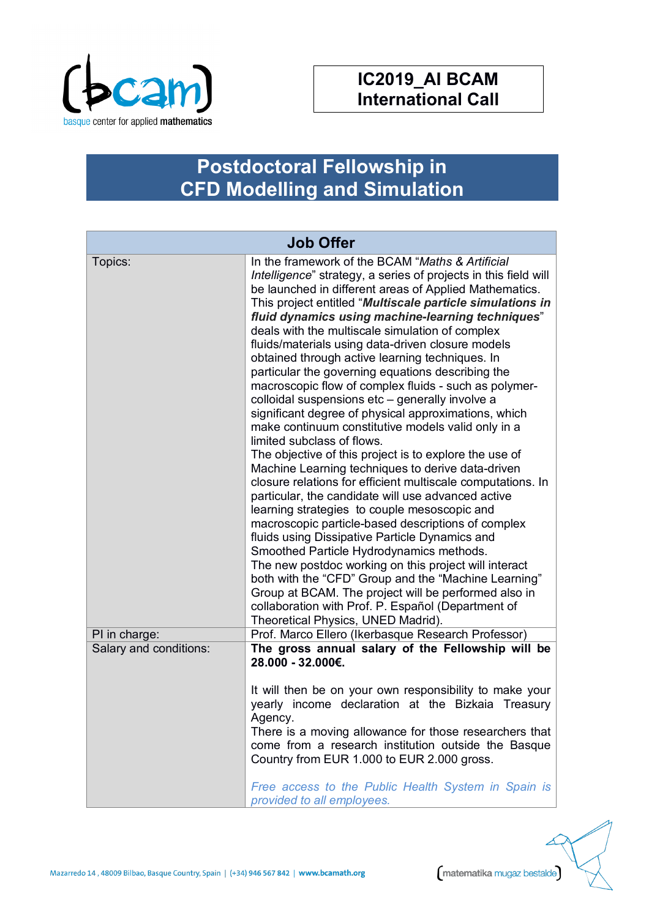

## **IC2019\_AI BCAM International Call**

## **Postdoctoral Fellowship in CFD Modelling and Simulation**

| <b>Job Offer</b>       |                                                                                                                                                                                                                                                                                                                                                                                                                                                                                                                                                                                                                                                                                                                                                                                                                                                                                                                                                                                                                                                                                                                                                                                                                                                                                                                                                                                                                                                                                      |
|------------------------|--------------------------------------------------------------------------------------------------------------------------------------------------------------------------------------------------------------------------------------------------------------------------------------------------------------------------------------------------------------------------------------------------------------------------------------------------------------------------------------------------------------------------------------------------------------------------------------------------------------------------------------------------------------------------------------------------------------------------------------------------------------------------------------------------------------------------------------------------------------------------------------------------------------------------------------------------------------------------------------------------------------------------------------------------------------------------------------------------------------------------------------------------------------------------------------------------------------------------------------------------------------------------------------------------------------------------------------------------------------------------------------------------------------------------------------------------------------------------------------|
| Topics:                | In the framework of the BCAM "Maths & Artificial<br>Intelligence" strategy, a series of projects in this field will<br>be launched in different areas of Applied Mathematics.<br>This project entitled "Multiscale particle simulations in<br>fluid dynamics using machine-learning techniques"<br>deals with the multiscale simulation of complex<br>fluids/materials using data-driven closure models<br>obtained through active learning techniques. In<br>particular the governing equations describing the<br>macroscopic flow of complex fluids - such as polymer-<br>colloidal suspensions etc - generally involve a<br>significant degree of physical approximations, which<br>make continuum constitutive models valid only in a<br>limited subclass of flows.<br>The objective of this project is to explore the use of<br>Machine Learning techniques to derive data-driven<br>closure relations for efficient multiscale computations. In<br>particular, the candidate will use advanced active<br>learning strategies to couple mesoscopic and<br>macroscopic particle-based descriptions of complex<br>fluids using Dissipative Particle Dynamics and<br>Smoothed Particle Hydrodynamics methods.<br>The new postdoc working on this project will interact<br>both with the "CFD" Group and the "Machine Learning"<br>Group at BCAM. The project will be performed also in<br>collaboration with Prof. P. Español (Department of<br>Theoretical Physics, UNED Madrid). |
| PI in charge:          | Prof. Marco Ellero (Ikerbasque Research Professor)                                                                                                                                                                                                                                                                                                                                                                                                                                                                                                                                                                                                                                                                                                                                                                                                                                                                                                                                                                                                                                                                                                                                                                                                                                                                                                                                                                                                                                   |
| Salary and conditions: | The gross annual salary of the Fellowship will be<br>28.000 - 32.000€.<br>It will then be on your own responsibility to make your<br>yearly income declaration at the Bizkaia Treasury                                                                                                                                                                                                                                                                                                                                                                                                                                                                                                                                                                                                                                                                                                                                                                                                                                                                                                                                                                                                                                                                                                                                                                                                                                                                                               |
|                        | Agency.<br>There is a moving allowance for those researchers that<br>come from a research institution outside the Basque<br>Country from EUR 1.000 to EUR 2.000 gross.<br>Free access to the Public Health System in Spain is<br>provided to all employees.                                                                                                                                                                                                                                                                                                                                                                                                                                                                                                                                                                                                                                                                                                                                                                                                                                                                                                                                                                                                                                                                                                                                                                                                                          |

Mazarredo 14, 48009 Bilbao, Basque Country, Spain | (+34) 946 567 842 | www.bcamath.org

matematika mugaz bestalde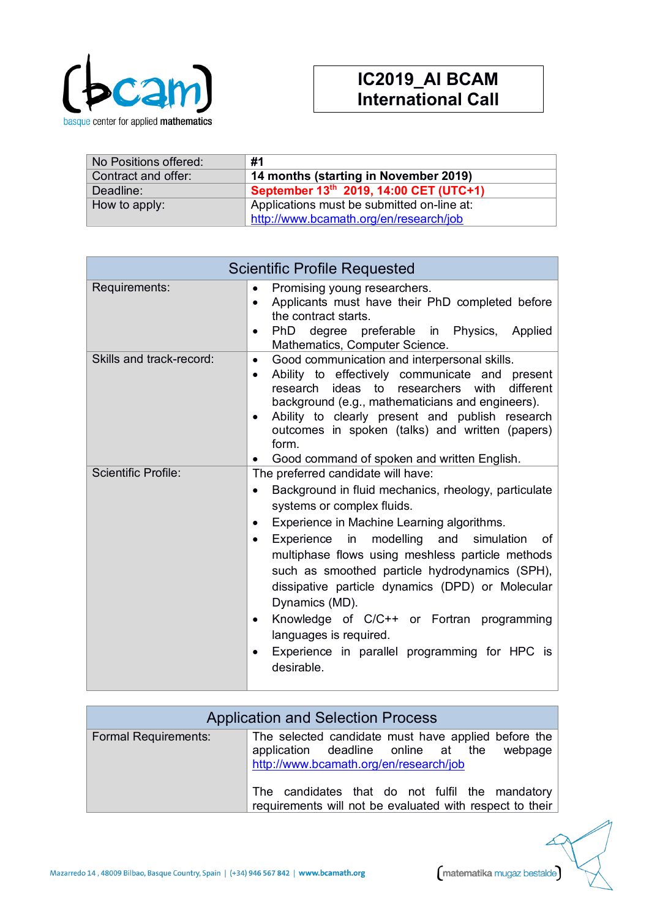

| No Positions offered: | #1                                         |
|-----------------------|--------------------------------------------|
| Contract and offer:   | 14 months (starting in November 2019)      |
| Deadline:             | September 13th 2019, 14:00 CET (UTC+1)     |
| How to apply:         | Applications must be submitted on-line at: |
|                       | http://www.bcamath.org/en/research/job     |

| <b>Scientific Profile Requested</b> |                                                                                                                                                                                                                                                                                                                                                                                                                                                                                                                                                                                                           |
|-------------------------------------|-----------------------------------------------------------------------------------------------------------------------------------------------------------------------------------------------------------------------------------------------------------------------------------------------------------------------------------------------------------------------------------------------------------------------------------------------------------------------------------------------------------------------------------------------------------------------------------------------------------|
| Requirements:                       | Promising young researchers.<br>$\bullet$<br>Applicants must have their PhD completed before<br>$\bullet$<br>the contract starts.<br>PhD degree preferable in Physics, Applied<br>$\bullet$<br>Mathematics, Computer Science.                                                                                                                                                                                                                                                                                                                                                                             |
| Skills and track-record:            | Good communication and interpersonal skills.<br>$\bullet$<br>Ability to effectively communicate and present<br>$\bullet$<br>research ideas to researchers with<br>different<br>background (e.g., mathematicians and engineers).<br>Ability to clearly present and publish research<br>$\bullet$<br>outcomes in spoken (talks) and written (papers)<br>form.<br>Good command of spoken and written English.                                                                                                                                                                                                |
| <b>Scientific Profile:</b>          | The preferred candidate will have:<br>Background in fluid mechanics, rheology, particulate<br>$\bullet$<br>systems or complex fluids.<br>Experience in Machine Learning algorithms.<br>$\bullet$<br>Experience in modelling and simulation<br>of<br>$\bullet$<br>multiphase flows using meshless particle methods<br>such as smoothed particle hydrodynamics (SPH),<br>dissipative particle dynamics (DPD) or Molecular<br>Dynamics (MD).<br>Knowledge of C/C++ or Fortran programming<br>$\bullet$<br>languages is required.<br>Experience in parallel programming for HPC is<br>$\bullet$<br>desirable. |

| <b>Application and Selection Process</b> |                                                                                                                                                |
|------------------------------------------|------------------------------------------------------------------------------------------------------------------------------------------------|
| <b>Formal Requirements:</b>              | The selected candidate must have applied before the<br>application deadline online at the<br>webpage<br>http://www.bcamath.org/en/research/job |
|                                          | The candidates that do not fulfil the mandatory<br>requirements will not be evaluated with respect to their                                    |

Mazarredo 14, 48009 Bilbao, Basque Country, Spain | (+34) 946 567 842 | www.bcamath.org